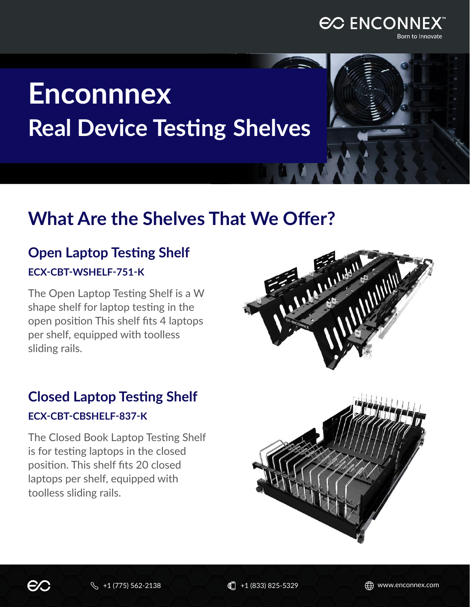

# **Enconnnex Real Device Testing Shelves**

# **What Are the Shelves That We Offer?**

# **Open Laptop Testing Shelf ECX-CBT-WSHELF-751-K**

The Open Laptop Testing Shelf is a W shape shelf for laptop testing in the open position This shelf fits 4 laptops per shelf, equipped with toolless sliding rails.

# **Closed Laptop Testing Shelf ECX-CBT-CBSHELF-837-K**

The Closed Book Laptop Testing Shelf is for testing laptops in the closed position. This shelf fits 20 closed laptops per shelf, equipped with toolless sliding rails.



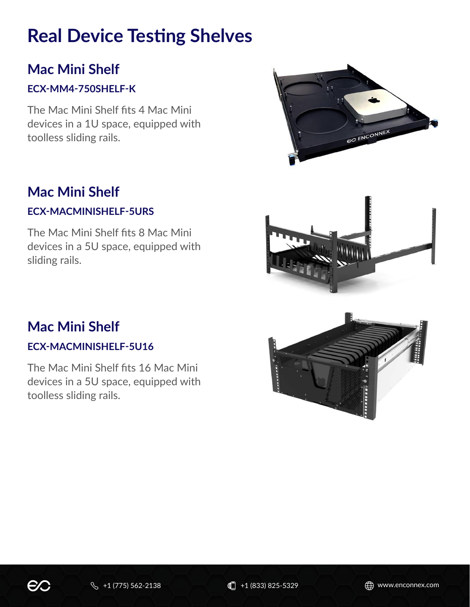# **Real Device Testing Shelves**

## **Mac Mini Shelf**

#### **ECX-MM4-750SHELF-K**

The Mac Mini Shelf fits 4 Mac Mini devices in a 1U space, equipped with toolless sliding rails.

### **Mac Mini Shelf**

#### **ECX-MACMINISHELF-5URS**

The Mac Mini Shelf fits 8 Mac Mini devices in a 5U space, equipped with sliding rails.

#### **Mac Mini Shelf**

#### **ECX-MACMINISHELF-5U16**

The Mac Mini Shelf fits 16 Mac Mini devices in a 5U space, equipped with toolless sliding rails.